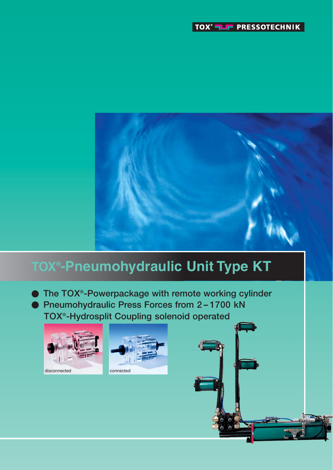

# **TOX® -Pneumohydraulic Unit Type KT**

**The TOX®-Powerpackage with remote working cylinder Pneumohydraulic Press Forces from 2 – 1700 kN TOX®-Hydrosplit Coupling solenoid operated**



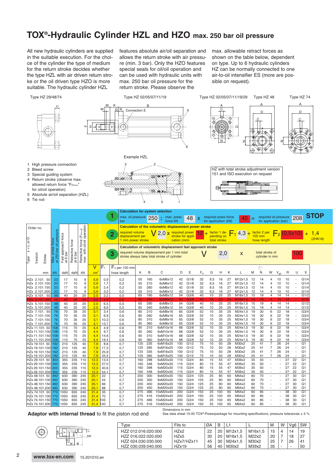### **TOX®-Hydraulic Cylinder HZL and HZO max. 250 bar oil pressure**

All new hydraulic cylinders are supplied in the suitable execution. For the choice of the cylinder the type of medium for the return stroke decides whether the type HZL with air driven return stroke or the oil driven type HZO is more suitable. The hydraulic cylinder HZL

features absolute air/oil separation and allows the return stroke with air pressure (min. 3 bar). Only the HZO features special seals for oil/oil operation and can be used with hydraulic units with max. 250 bar oil pressure for the return stroke. Please observe the

max. allowable retract forces as shown on the table below, dependent on type. Up to 6 hydraulic cylinders HZ can be normally connected to one air-to-oil intensifier ES (more are possible on request).



**Adaptor with internal thread** to fit the piston rod end

See data sheet 10.00 TOX®-Powerpackage for mounting specifications, pressure tolerances ± 5 %

Type Fits to  $\emptyset$ A B L1 L M W Vg6 SW HZZ 012.016.020.000 HZx2 22 20 M12x1,5 M16x1,5 15 4 14 19

HZZ 024.030.030.000 | HZx7/HZx11 | 45 | 30 | M24x1,5 | M30x2 | 25 | 7 | 26 | 41  $HZZ$  030.039.040.000  $\left|$  HZx19  $\right|$  56  $\left|$  40  $\right|$  M30x2  $\left|$  M39x2  $\right|$  35  $\left|$  -  $\right|$  -  $\left|$  50

HZZ 016.022.020.000 | HZx5 | 30 | 20 | M16x1,5<br>HZZ 024.030.030.000 | HZx7/HZx11 | 45 | 30 | M24x1.5



 $\mathfrak{p}$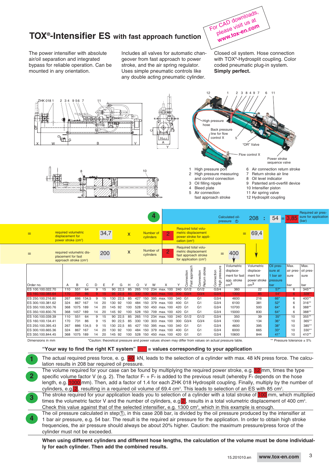### **TOX®-Intensifier ES with fast approach function**

For CAD downloads, please visit us at **www.tox-en.com**

The power intensifier with absolute air/oil separation and integrated bypass for reliable operation. Can be mounted in any orientation.

Includes all valves for automatic changeover from fast approach to power stroke, and the air spring regulator. Uses simple pneumatic controls like any double acting pneumatic cylinder.

Closed oil system. Hose connection with TOX®-Hydrosplit coupling. Color coded pneumatic plug-in system. **Simply perfect.**



The oil pressure calculated in step $(1)$ , in this case 208 bar, is divided by the oil pressure produced by the intensifier at 1 bar air pressure, e.g. 54 bar. The result is the required air pressure for the application. In order to obtain high stroke frequencies, the air pressure should always be about 20% higher. Caution: the maximum pressure/press force of the cylinder must not be exceeded. **4**

**When using different cylinders and different hose lengths, the calculation of the volume must be done individually for each cylinder. Then add the combined results.**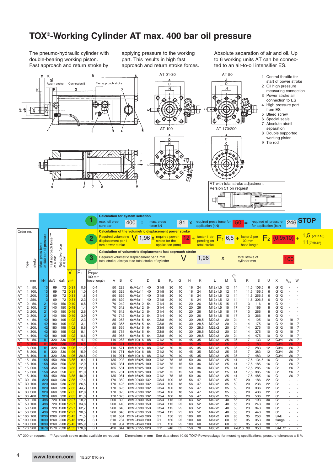# **TOX®-Working Cylinder AT max. 400 bar oil pressure**

The pneumo-hydraulic cylinder with double-bearing working piston. Fast approach and return stroke by applying pressure to the working part. This results in high fast approach and return stroke forces. Absolute separation of air and oil. Up to 6 working units AT can be connected to an air-to-oil intensifier ES.



AT 200 on request \*\*\*Approach stroke assist available on request Dimensions in mm See data sheet 10.00 TOX®-Powerpackage for mounting specifications, pressure tolerances ± 5 %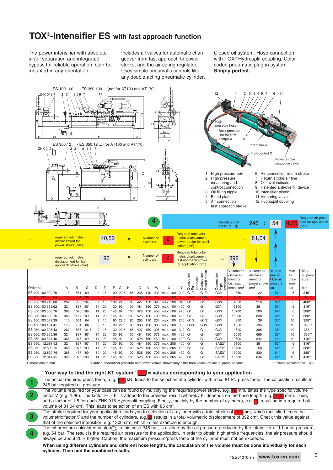### **TOX®-Intensifier ES with fast approach function**

The power intensifier with absolute air/oil separation and integrated bypass for reliable operation. Can be mounted in any orientation.

**1**

**2**

**4**

Includes all valves for automatic changeover from fast approach to power stroke, and the air spring regulator. Uses simple pneumatic controls like any double acting pneumatic cylinder. Closed oil system. Hose connection with TOX®-Hydrosplit coupling. Color coded pneumatic plug-in system. **Simply perfect.**



**"Your way to find the right KT system" = values corresponding to your application**

The actual required press force, e. g. 50 kN, leads to the selection of a cylinder with max. 81 kN press force. The calculation results in 246 bar required oil pressure.

The volume required for your case can be found by multiplying the required power stroke, e.g. 12 mm, times the type specific volume factor V (e.g. 1.96). The factor F<sub>1</sub> + F<sub>2</sub> is added to the previous result (whereby F<sub>2</sub> depends on the hose length, e.g. 1000 mm). Then, add a factor of 1.5 for each ZHK 018 Hydrosplit coupling. Finally, multiply by the number of cylinders, e.g. **Z**, resulting in a required oil volume of 81.04 cm<sup>3</sup>. This leads to selection of an ES with 85 cm<sup>3</sup>.

The stroke required for your application leads you to selection of a cylinder with a total stroke of 100 mm, which multiplied times the volumetric factor V and the number of cylinders, e.g. 2, results in a total volumetric displacement of 392 cm<sup>3</sup>. Check this value against that of the selected intensifier, e.g. 1300 cm<sup>3</sup>, which in this example is enough. **3**

The oil pressure calculated in step $(1)$ , in this case 246 bar, is divided by the oil pressure produced by the intensifier at 1 bar air pressure, e.g. 54 bar. The result is the required air pressure for the application. In order to obtain high stroke frequencies, the air pressure should always be about 20% higher. Caution: the maximum pressure/press force of the cylinder must not be exceeded.

**When using different cylinders and different hose lengths, the calculation of the volume must be done individually for each cylinder. Then add the combined results.**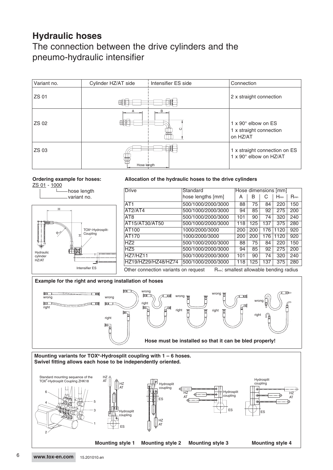# **Hydraulic hoses**

### The connection between the drive cylinders and the pneumo-hydraulic intensifier

| Variant no. | Cylinder HZ/AT side | Intensifier ES side | Connection                                                             |
|-------------|---------------------|---------------------|------------------------------------------------------------------------|
| ZS 01       |                     |                     | 2 x straight connection                                                |
| ZS 02       |                     | B<br>O              | $1 \times 90^\circ$ elbow on ES<br>1 x straight connection<br>on HZ/AT |
| ZS 03       | 審<br>Hose length    |                     | 1 x straight connection on ES<br>1 x 90° elbow on HZ/AT                |

**Ordering example for hoses:** ZS 01 - 1000



### **Allocation of the hydraulic hoses to the drive cylinders**

| <b>Drive</b>                                                                                 | Standard           | Hose dimensions [mm] |     |     |           |           |  |
|----------------------------------------------------------------------------------------------|--------------------|----------------------|-----|-----|-----------|-----------|--|
|                                                                                              | hose lengths [mm]  | А                    | B   | C   | $H_{min}$ | $R_{min}$ |  |
| AT <sub>1</sub>                                                                              | 500/1000/2000/3000 | 88                   | 75  | 84  | 220       | 150       |  |
| AT2/AT4                                                                                      | 500/1000/2000/3000 | 94                   | 85  | 92  | 275       | 200       |  |
| AT <sub>8</sub>                                                                              | 500/1000/2000/3000 | 101                  | 90  | 74  | 320       | 240       |  |
| AT15/AT30/AT50                                                                               | 500/1000/2000/3000 | 118                  | 125 | 137 | 375       | 280       |  |
| <b>AT100</b>                                                                                 | 1000/2000/3000     | 200                  | 200 | 176 | 1120      | 920       |  |
| AT170                                                                                        | 1000/2000/3000     | 200                  | 200 | 176 | 1120      | 920       |  |
| HZ <sub>2</sub>                                                                              | 500/1000/2000/3000 | 88                   | 75  | 84  | 220       | 150       |  |
| HZ <sub>5</sub>                                                                              | 500/1000/2000/3000 | 94                   | 85  | 92  | 275       | 200       |  |
| HZ7/HZ11                                                                                     | 500/1000/2000/3000 | 101                  | 90  | 74  | 320       | 240       |  |
| HZ19/HZ29/HZ48/HZ74                                                                          | 500/1000/2000/3000 | 118                  | 125 | 137 | 375       | 280       |  |
| R <sub>min</sub> : smallest allowable bending radius<br>Other connection variants on request |                    |                      |     |     |           |           |  |





6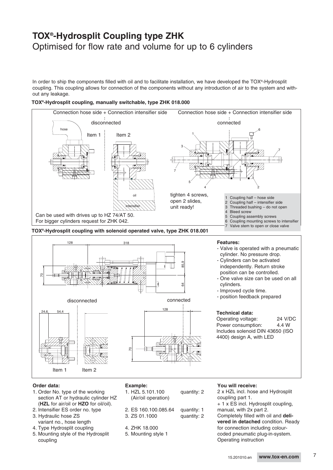### **TOX®-Hydrosplit Coupling type ZHK** Optimised for flow rate and volume for up to 6 cylinders

In order to ship the components filled with oil and to facilitate installation, we have developed the TOX®-Hydrosplit coupling. This coupling allows for connection of the components without any introduction of air to the system and without any leakage.

### **TOX®-Hydrosplit coupling, manually switchable, type ZHK 018.000**



**TOX®-Hydrosplit coupling with solenoid operated valve, type ZHK 018.001**



#### **Order data:**

- 1. Order No. type of the working section AT or hydraulic cylinder HZ (**HZL** for air/oil or **HZO** for oil/oil).
- 2. Intensifier ES order no. type
- 3. Hydraulic hose ZS
- variant no., hose length 4. Type Hydrosplit coupling
- 5. Mounting style of the Hydrosplit coupling

| xample |  |  |
|--------|--|--|
|        |  |  |
|        |  |  |

- 1. HZL 5.101.100 quantity: 2 (Air/oil operation)
- 2. ES 160.100.085.64 quantity: 1 3. ZS 01.1000 quantity: 2
- 4. ZHK 18.000
- 5. Mounting style 1

#### **You will receive:**

2 x HZL incl. hose and Hydrosplit coupling part 1. + 1 x ES incl. Hydrosplit coupling, manual, with 2x part 2. Completely filled with oil and **delivered in detached** condition. Ready for connection including colourcoded pneumatic plug-in-system. Operating instruction

7